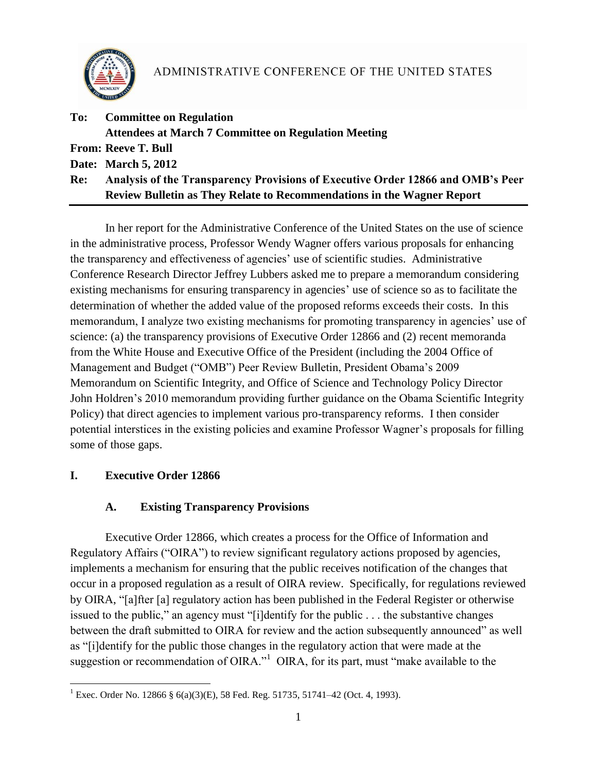

| To: | <b>Committee on Regulation</b>                                                  |
|-----|---------------------------------------------------------------------------------|
|     | <b>Attendees at March 7 Committee on Regulation Meeting</b>                     |
|     | <b>From: Reeve T. Bull</b>                                                      |
|     | Date: March 5, 2012                                                             |
| Re: | Analysis of the Transparency Provisions of Executive Order 12866 and OMB's Peer |
|     | <b>Review Bulletin as They Relate to Recommendations in the Wagner Report</b>   |

In her report for the Administrative Conference of the United States on the use of science in the administrative process, Professor Wendy Wagner offers various proposals for enhancing the transparency and effectiveness of agencies" use of scientific studies. Administrative Conference Research Director Jeffrey Lubbers asked me to prepare a memorandum considering existing mechanisms for ensuring transparency in agencies' use of science so as to facilitate the determination of whether the added value of the proposed reforms exceeds their costs. In this memorandum, I analyze two existing mechanisms for promoting transparency in agencies' use of science: (a) the transparency provisions of Executive Order 12866 and (2) recent memoranda from the White House and Executive Office of the President (including the 2004 Office of Management and Budget ("OMB") Peer Review Bulletin, President Obama"s 2009 Memorandum on Scientific Integrity, and Office of Science and Technology Policy Director John Holdren"s 2010 memorandum providing further guidance on the Obama Scientific Integrity Policy) that direct agencies to implement various pro-transparency reforms. I then consider potential interstices in the existing policies and examine Professor Wagner"s proposals for filling some of those gaps.

## **I. Executive Order 12866**

# **A. Existing Transparency Provisions**

Executive Order 12866, which creates a process for the Office of Information and Regulatory Affairs ("OIRA") to review significant regulatory actions proposed by agencies, implements a mechanism for ensuring that the public receives notification of the changes that occur in a proposed regulation as a result of OIRA review. Specifically, for regulations reviewed by OIRA, "[a]fter [a] regulatory action has been published in the Federal Register or otherwise issued to the public," an agency must "[i]dentify for the public . . . the substantive changes between the draft submitted to OIRA for review and the action subsequently announced" as well as "[i]dentify for the public those changes in the regulatory action that were made at the suggestion or recommendation of OIRA."<sup>1</sup> OIRA, for its part, must "make available to the

 $\overline{a}$ <sup>1</sup> Exec. Order No. 12866 § 6(a)(3)(E), 58 Fed. Reg. 51735, 51741–42 (Oct. 4, 1993).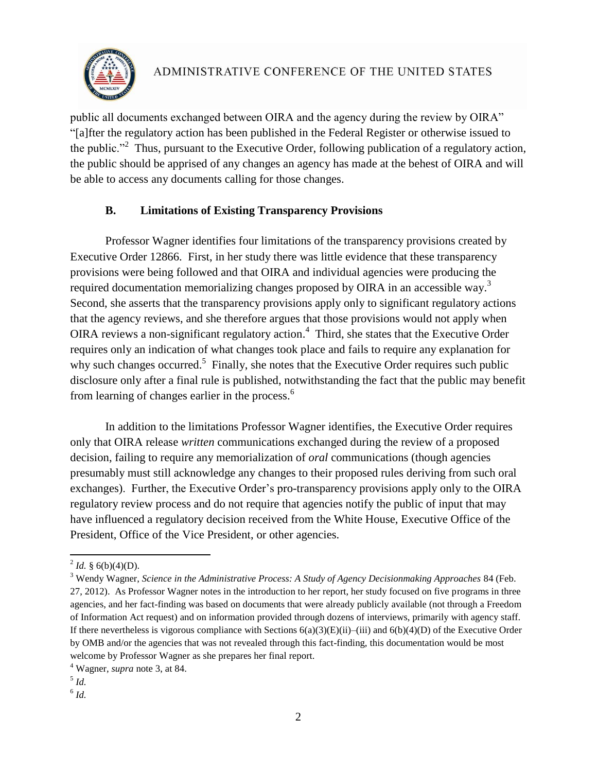

public all documents exchanged between OIRA and the agency during the review by OIRA" "[a]fter the regulatory action has been published in the Federal Register or otherwise issued to the public."<sup>2</sup> Thus, pursuant to the Executive Order, following publication of a regulatory action, the public should be apprised of any changes an agency has made at the behest of OIRA and will be able to access any documents calling for those changes.

## <span id="page-1-0"></span>**B. Limitations of Existing Transparency Provisions**

Professor Wagner identifies four limitations of the transparency provisions created by Executive Order 12866. First, in her study there was little evidence that these transparency provisions were being followed and that OIRA and individual agencies were producing the required documentation memorializing changes proposed by OIRA in an accessible way.<sup>3</sup> Second, she asserts that the transparency provisions apply only to significant regulatory actions that the agency reviews, and she therefore argues that those provisions would not apply when OIRA reviews a non-significant regulatory action. 4 Third, she states that the Executive Order requires only an indication of what changes took place and fails to require any explanation for why such changes occurred.<sup>5</sup> Finally, she notes that the Executive Order requires such public disclosure only after a final rule is published, notwithstanding the fact that the public may benefit from learning of changes earlier in the process.<sup>6</sup>

In addition to the limitations Professor Wagner identifies, the Executive Order requires only that OIRA release *written* communications exchanged during the review of a proposed decision, failing to require any memorialization of *oral* communications (though agencies presumably must still acknowledge any changes to their proposed rules deriving from such oral exchanges). Further, the Executive Order's pro-transparency provisions apply only to the OIRA regulatory review process and do not require that agencies notify the public of input that may have influenced a regulatory decision received from the White House, Executive Office of the President, Office of the Vice President, or other agencies.

 $^{2}$  *Id.* § 6(b)(4)(D).

<sup>3</sup> Wendy Wagner, *Science in the Administrative Process: A Study of Agency Decisionmaking Approaches* 84 (Feb. 27, 2012). As Professor Wagner notes in the introduction to her report, her study focused on five programs in three agencies, and her fact-finding was based on documents that were already publicly available (not through a Freedom of Information Act request) and on information provided through dozens of interviews, primarily with agency staff. If there nevertheless is vigorous compliance with Sections  $6(a)(3)(E)(ii)$ –(iii) and  $6(b)(4)(D)$  of the Executive Order by OMB and/or the agencies that was not revealed through this fact-finding, this documentation would be most welcome by Professor Wagner as she prepares her final report.

<sup>4</sup> Wagner, *supra* note [3,](#page-1-0) at 84.

<sup>5</sup> *Id.*

<sup>6</sup> *Id.*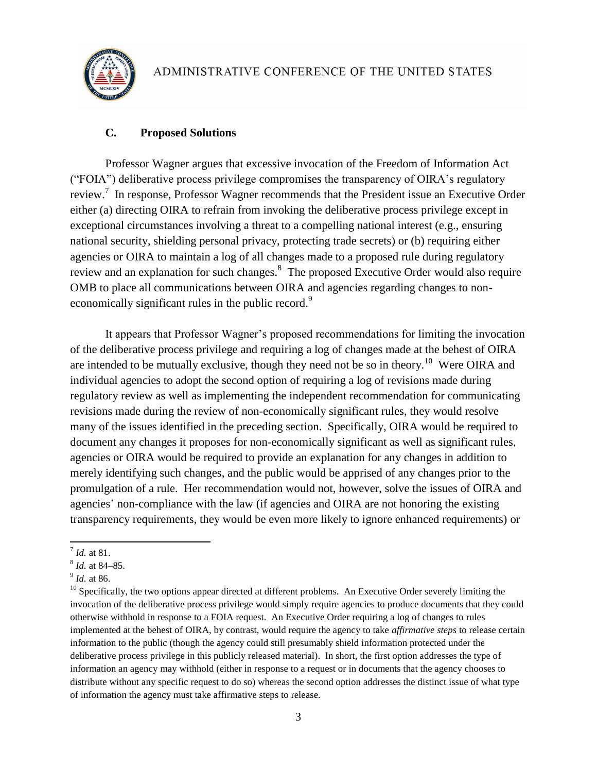

## **C. Proposed Solutions**

Professor Wagner argues that excessive invocation of the Freedom of Information Act ("FOIA") deliberative process privilege compromises the transparency of OIRA"s regulatory review.<sup>7</sup> In response, Professor Wagner recommends that the President issue an Executive Order either (a) directing OIRA to refrain from invoking the deliberative process privilege except in exceptional circumstances involving a threat to a compelling national interest (e.g., ensuring national security, shielding personal privacy, protecting trade secrets) or (b) requiring either agencies or OIRA to maintain a log of all changes made to a proposed rule during regulatory review and an explanation for such changes.<sup>8</sup> The proposed Executive Order would also require OMB to place all communications between OIRA and agencies regarding changes to noneconomically significant rules in the public record.<sup>9</sup>

It appears that Professor Wagner"s proposed recommendations for limiting the invocation of the deliberative process privilege and requiring a log of changes made at the behest of OIRA are intended to be mutually exclusive, though they need not be so in theory.<sup>10</sup> Were OIRA and individual agencies to adopt the second option of requiring a log of revisions made during regulatory review as well as implementing the independent recommendation for communicating revisions made during the review of non-economically significant rules, they would resolve many of the issues identified in the preceding section. Specifically, OIRA would be required to document any changes it proposes for non-economically significant as well as significant rules, agencies or OIRA would be required to provide an explanation for any changes in addition to merely identifying such changes, and the public would be apprised of any changes prior to the promulgation of a rule. Her recommendation would not, however, solve the issues of OIRA and agencies' non-compliance with the law (if agencies and OIRA are not honoring the existing transparency requirements, they would be even more likely to ignore enhanced requirements) or

 $\overline{a}$ 

<sup>7</sup> *Id.* at 81.

<sup>8</sup> *Id.* at 84–85.

<sup>9</sup> *Id.* at 86.

<sup>&</sup>lt;sup>10</sup> Specifically, the two options appear directed at different problems. An Executive Order severely limiting the invocation of the deliberative process privilege would simply require agencies to produce documents that they could otherwise withhold in response to a FOIA request. An Executive Order requiring a log of changes to rules implemented at the behest of OIRA, by contrast, would require the agency to take *affirmative steps* to release certain information to the public (though the agency could still presumably shield information protected under the deliberative process privilege in this publicly released material). In short, the first option addresses the type of information an agency may withhold (either in response to a request or in documents that the agency chooses to distribute without any specific request to do so) whereas the second option addresses the distinct issue of what type of information the agency must take affirmative steps to release.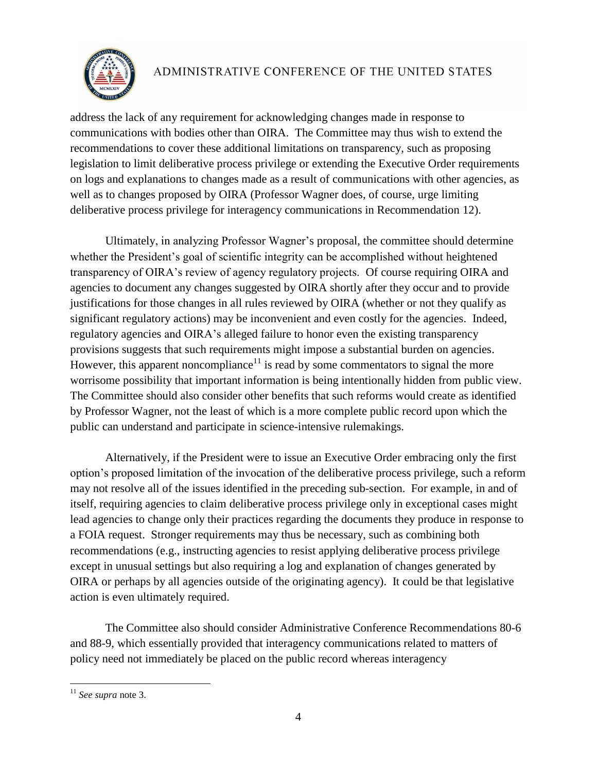

address the lack of any requirement for acknowledging changes made in response to communications with bodies other than OIRA. The Committee may thus wish to extend the recommendations to cover these additional limitations on transparency, such as proposing legislation to limit deliberative process privilege or extending the Executive Order requirements on logs and explanations to changes made as a result of communications with other agencies, as well as to changes proposed by OIRA (Professor Wagner does, of course, urge limiting deliberative process privilege for interagency communications in Recommendation 12).

Ultimately, in analyzing Professor Wagner"s proposal, the committee should determine whether the President's goal of scientific integrity can be accomplished without heightened transparency of OIRA"s review of agency regulatory projects. Of course requiring OIRA and agencies to document any changes suggested by OIRA shortly after they occur and to provide justifications for those changes in all rules reviewed by OIRA (whether or not they qualify as significant regulatory actions) may be inconvenient and even costly for the agencies. Indeed, regulatory agencies and OIRA's alleged failure to honor even the existing transparency provisions suggests that such requirements might impose a substantial burden on agencies. However, this apparent noncompliance<sup>11</sup> is read by some commentators to signal the more worrisome possibility that important information is being intentionally hidden from public view. The Committee should also consider other benefits that such reforms would create as identified by Professor Wagner, not the least of which is a more complete public record upon which the public can understand and participate in science-intensive rulemakings.

Alternatively, if the President were to issue an Executive Order embracing only the first option"s proposed limitation of the invocation of the deliberative process privilege, such a reform may not resolve all of the issues identified in the preceding sub-section. For example, in and of itself, requiring agencies to claim deliberative process privilege only in exceptional cases might lead agencies to change only their practices regarding the documents they produce in response to a FOIA request. Stronger requirements may thus be necessary, such as combining both recommendations (e.g., instructing agencies to resist applying deliberative process privilege except in unusual settings but also requiring a log and explanation of changes generated by OIRA or perhaps by all agencies outside of the originating agency). It could be that legislative action is even ultimately required.

The Committee also should consider Administrative Conference Recommendations 80-6 and 88-9, which essentially provided that interagency communications related to matters of policy need not immediately be placed on the public record whereas interagency

 $\overline{a}$ 

<sup>11</sup> *See supra* note 3.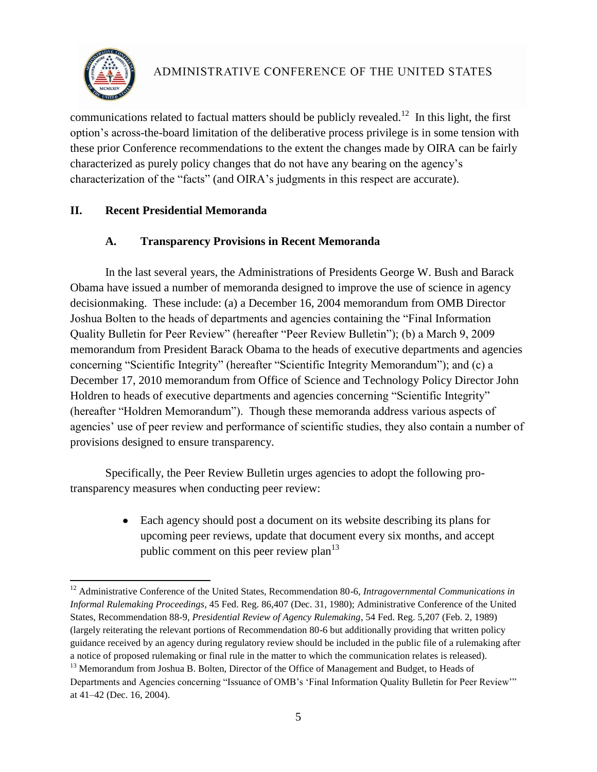

communications related to factual matters should be publicly revealed.<sup>12</sup> In this light, the first option"s across-the-board limitation of the deliberative process privilege is in some tension with these prior Conference recommendations to the extent the changes made by OIRA can be fairly characterized as purely policy changes that do not have any bearing on the agency"s characterization of the "facts" (and OIRA"s judgments in this respect are accurate).

#### **II. Recent Presidential Memoranda**

#### **A. Transparency Provisions in Recent Memoranda**

In the last several years, the Administrations of Presidents George W. Bush and Barack Obama have issued a number of memoranda designed to improve the use of science in agency decisionmaking. These include: (a) a December 16, 2004 memorandum from OMB Director Joshua Bolten to the heads of departments and agencies containing the "Final Information Quality Bulletin for Peer Review" (hereafter "Peer Review Bulletin"); (b) a March 9, 2009 memorandum from President Barack Obama to the heads of executive departments and agencies concerning "Scientific Integrity" (hereafter "Scientific Integrity Memorandum"); and (c) a December 17, 2010 memorandum from Office of Science and Technology Policy Director John Holdren to heads of executive departments and agencies concerning "Scientific Integrity" (hereafter "Holdren Memorandum"). Though these memoranda address various aspects of agencies' use of peer review and performance of scientific studies, they also contain a number of provisions designed to ensure transparency.

Specifically, the Peer Review Bulletin urges agencies to adopt the following protransparency measures when conducting peer review:

> Each agency should post a document on its website describing its plans for  $\bullet$ upcoming peer reviews, update that document every six months, and accept public comment on this peer review  $plan<sup>13</sup>$

 $\overline{\phantom{a}}$ <sup>12</sup> Administrative Conference of the United States, Recommendation 80-6, *Intragovernmental Communications in Informal Rulemaking Proceedings*, 45 Fed. Reg. 86,407 (Dec. 31, 1980); Administrative Conference of the United States, Recommendation 88-9, *Presidential Review of Agency Rulemaking*, 54 Fed. Reg. 5,207 (Feb. 2, 1989) (largely reiterating the relevant portions of Recommendation 80-6 but additionally providing that written policy guidance received by an agency during regulatory review should be included in the public file of a rulemaking after a notice of proposed rulemaking or final rule in the matter to which the communication relates is released).

<sup>&</sup>lt;sup>13</sup> Memorandum from Joshua B. Bolten, Director of the Office of Management and Budget, to Heads of Departments and Agencies concerning "Issuance of OMB's 'Final Information Quality Bulletin for Peer Review"" at 41–42 (Dec. 16, 2004).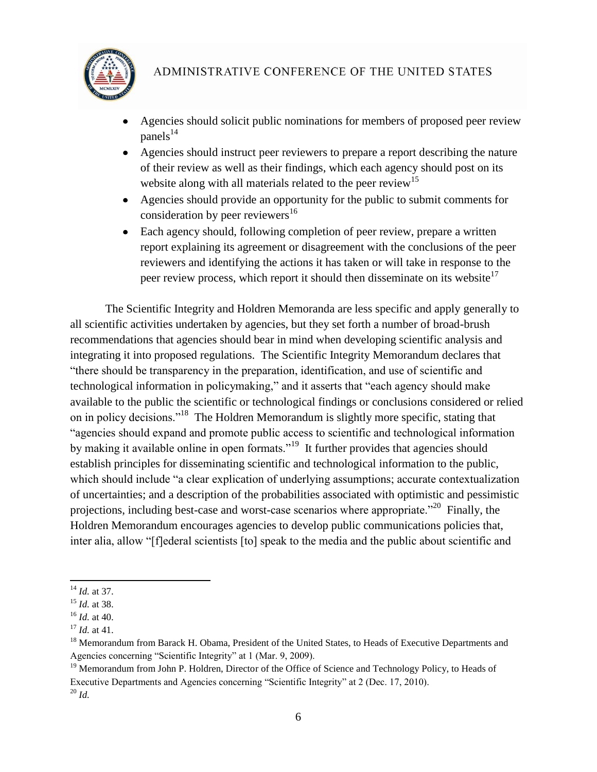

- Agencies should solicit public nominations for members of proposed peer review  $panels<sup>14</sup>$
- Agencies should instruct peer reviewers to prepare a report describing the nature of their review as well as their findings, which each agency should post on its website along with all materials related to the peer review<sup>15</sup>
- Agencies should provide an opportunity for the public to submit comments for consideration by peer reviewers<sup>16</sup>
- Each agency should, following completion of peer review, prepare a written report explaining its agreement or disagreement with the conclusions of the peer reviewers and identifying the actions it has taken or will take in response to the peer review process, which report it should then disseminate on its website<sup>17</sup>

The Scientific Integrity and Holdren Memoranda are less specific and apply generally to all scientific activities undertaken by agencies, but they set forth a number of broad-brush recommendations that agencies should bear in mind when developing scientific analysis and integrating it into proposed regulations. The Scientific Integrity Memorandum declares that "there should be transparency in the preparation, identification, and use of scientific and technological information in policymaking," and it asserts that "each agency should make available to the public the scientific or technological findings or conclusions considered or relied on in policy decisions."<sup>18</sup> The Holdren Memorandum is slightly more specific, stating that "agencies should expand and promote public access to scientific and technological information by making it available online in open formats."<sup>19</sup> It further provides that agencies should establish principles for disseminating scientific and technological information to the public, which should include "a clear explication of underlying assumptions; accurate contextualization of uncertainties; and a description of the probabilities associated with optimistic and pessimistic projections, including best-case and worst-case scenarios where appropriate.<sup> $20$ </sup> Finally, the Holdren Memorandum encourages agencies to develop public communications policies that, inter alia, allow "[f]ederal scientists [to] speak to the media and the public about scientific and

 $\overline{\phantom{a}}$ <sup>14</sup> *Id.* at 37.

<sup>15</sup> *Id.* at 38.

<sup>16</sup> *Id.* at 40.

<sup>17</sup> *Id.* at 41.

<sup>&</sup>lt;sup>18</sup> Memorandum from Barack H. Obama, President of the United States, to Heads of Executive Departments and Agencies concerning "Scientific Integrity" at 1 (Mar. 9, 2009).

<sup>&</sup>lt;sup>19</sup> Memorandum from John P. Holdren, Director of the Office of Science and Technology Policy, to Heads of Executive Departments and Agencies concerning "Scientific Integrity" at 2 (Dec. 17, 2010).  $^{20}$  *Id.*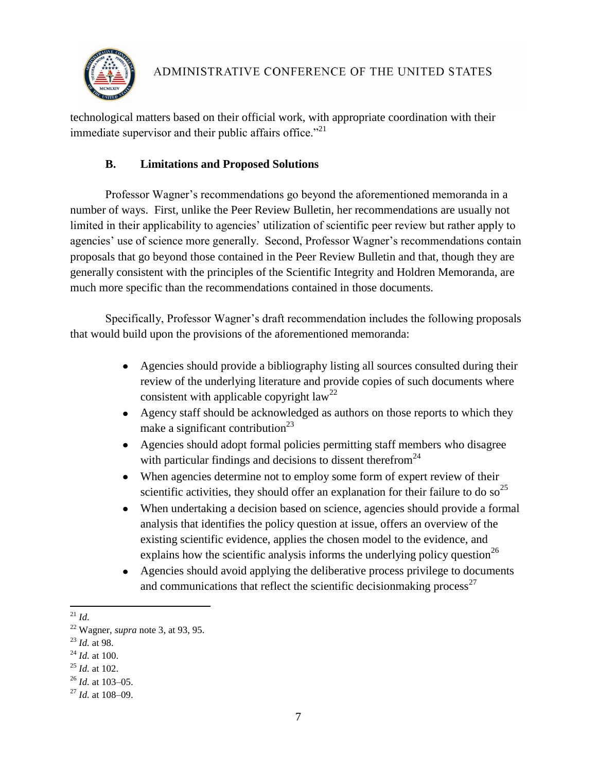

technological matters based on their official work, with appropriate coordination with their immediate supervisor and their public affairs office. $^{21}$ 

# **B. Limitations and Proposed Solutions**

Professor Wagner's recommendations go beyond the aforementioned memoranda in a number of ways. First, unlike the Peer Review Bulletin, her recommendations are usually not limited in their applicability to agencies' utilization of scientific peer review but rather apply to agencies' use of science more generally. Second, Professor Wagner's recommendations contain proposals that go beyond those contained in the Peer Review Bulletin and that, though they are generally consistent with the principles of the Scientific Integrity and Holdren Memoranda, are much more specific than the recommendations contained in those documents.

Specifically, Professor Wagner"s draft recommendation includes the following proposals that would build upon the provisions of the aforementioned memoranda:

- Agencies should provide a bibliography listing all sources consulted during their review of the underlying literature and provide copies of such documents where consistent with applicable copyright  $law<sup>22</sup>$
- Agency staff should be acknowledged as authors on those reports to which they make a significant contribution<sup>23</sup>
- Agencies should adopt formal policies permitting staff members who disagree with particular findings and decisions to dissent therefrom<sup>24</sup>
- When agencies determine not to employ some form of expert review of their  $\bullet$ scientific activities, they should offer an explanation for their failure to do so<sup>25</sup>
- When undertaking a decision based on science, agencies should provide a formal  $\bullet$ analysis that identifies the policy question at issue, offers an overview of the existing scientific evidence, applies the chosen model to the evidence, and explains how the scientific analysis informs the underlying policy question<sup>26</sup>
- Agencies should avoid applying the deliberative process privilege to documents  $\bullet$ and communications that reflect the scientific decision making process<sup>27</sup>

 $\overline{\phantom{a}}$ <sup>21</sup> *Id.*

<sup>22</sup> Wagner, *supra* not[e 3,](#page-1-0) at 93, 95.

<sup>23</sup> *Id.* at 98.

<sup>24</sup> *Id.* at 100.

<sup>25</sup> *Id.* at 102.

<sup>26</sup> *Id.* at 103–05.

<sup>27</sup> *Id.* at 108–09.